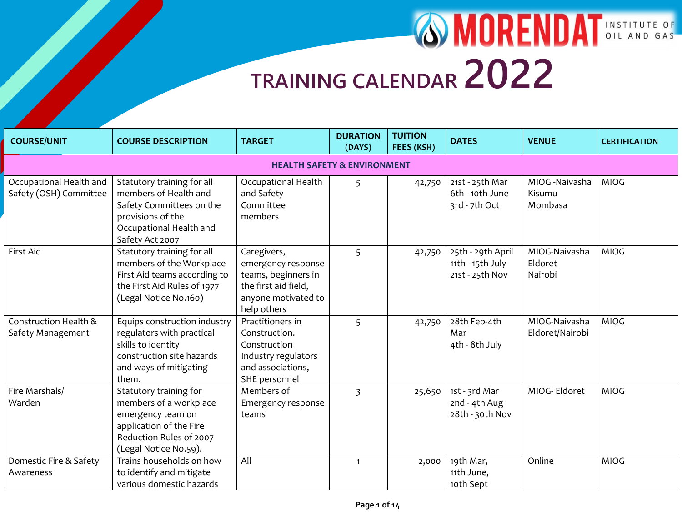| <b>COURSE/UNIT</b>                                | <b>COURSE DESCRIPTION</b>                                                                                                                            | <b>TARGET</b>                                                                                                          | <b>DURATION</b><br>(DAYS) | <b>TUITION</b><br>FEES (KSH) | <b>DATES</b>                                             | <b>VENUE</b>                        | <b>CERTIFICATION</b> |  |  |  |  |
|---------------------------------------------------|------------------------------------------------------------------------------------------------------------------------------------------------------|------------------------------------------------------------------------------------------------------------------------|---------------------------|------------------------------|----------------------------------------------------------|-------------------------------------|----------------------|--|--|--|--|
|                                                   | <b>HEALTH SAFETY &amp; ENVIRONMENT</b>                                                                                                               |                                                                                                                        |                           |                              |                                                          |                                     |                      |  |  |  |  |
| Occupational Health and<br>Safety (OSH) Committee | Statutory training for all<br>members of Health and<br>Safety Committees on the<br>provisions of the<br>Occupational Health and<br>Safety Act 2007   | <b>Occupational Health</b><br>and Safety<br>Committee<br>members                                                       | 5                         | 42,750                       | 21st - 25th Mar<br>6th - 10th June<br>3rd - 7th Oct      | MIOG -Naivasha<br>Kisumu<br>Mombasa | <b>MIOG</b>          |  |  |  |  |
| First Aid                                         | Statutory training for all<br>members of the Workplace<br>First Aid teams according to<br>the First Aid Rules of 1977<br>(Legal Notice No.160)       | Caregivers,<br>emergency response<br>teams, beginners in<br>the first aid field,<br>anyone motivated to<br>help others | 5                         | 42,750                       | 25th - 29th April<br>11th - 15th July<br>21st - 25th Nov | MIOG-Naivasha<br>Eldoret<br>Nairobi | <b>MIOG</b>          |  |  |  |  |
| Construction Health &<br>Safety Management        | Equips construction industry<br>regulators with practical<br>skills to identity<br>construction site hazards<br>and ways of mitigating<br>them.      | Practitioners in<br>Construction.<br>Construction<br>Industry regulators<br>and associations,<br>SHE personnel         | 5                         | 42,750                       | 28th Feb-4th<br>Mar<br>4th - 8th July                    | MIOG-Naivasha<br>Eldoret/Nairobi    | <b>MIOG</b>          |  |  |  |  |
| Fire Marshals/<br>Warden                          | Statutory training for<br>members of a workplace<br>emergency team on<br>application of the Fire<br>Reduction Rules of 2007<br>(Legal Notice No.59). | Members of<br>Emergency response<br>teams                                                                              | $\overline{3}$            | 25,650                       | 1st - 3rd Mar<br>2nd - 4th Aug<br>28th - 30th Nov        | MIOG-Eldoret                        | <b>MIOG</b>          |  |  |  |  |
| Domestic Fire & Safety<br>Awareness               | Trains households on how<br>to identify and mitigate<br>various domestic hazards                                                                     | All                                                                                                                    | $\mathbf{1}$              | 2,000                        | 19th Mar,<br>11th June,<br>10th Sept                     | Online                              | <b>MIOG</b>          |  |  |  |  |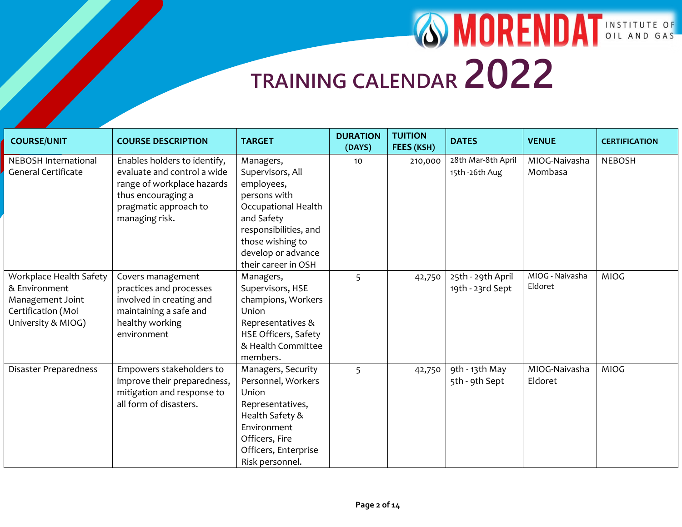| <b>COURSE/UNIT</b>         | <b>COURSE DESCRIPTION</b>    | <b>TARGET</b>                          | <b>DURATION</b><br>(DAYS) | <b>TUITION</b><br>FEES (KSH) | <b>DATES</b>       | <b>VENUE</b>    | <b>CERTIFICATION</b> |
|----------------------------|------------------------------|----------------------------------------|---------------------------|------------------------------|--------------------|-----------------|----------------------|
| NEBOSH International       | Enables holders to identify, | Managers,                              | 10                        | 210,000                      | 28th Mar-8th April | MIOG-Naivasha   | <b>NEBOSH</b>        |
| <b>General Certificate</b> | evaluate and control a wide  | Supervisors, All                       |                           |                              | 15th -26th Aug     | Mombasa         |                      |
|                            | range of workplace hazards   | employees,                             |                           |                              |                    |                 |                      |
|                            | thus encouraging a           | persons with                           |                           |                              |                    |                 |                      |
|                            | pragmatic approach to        | Occupational Health                    |                           |                              |                    |                 |                      |
|                            | managing risk.               | and Safety                             |                           |                              |                    |                 |                      |
|                            |                              | responsibilities, and                  |                           |                              |                    |                 |                      |
|                            |                              | those wishing to<br>develop or advance |                           |                              |                    |                 |                      |
|                            |                              | their career in OSH                    |                           |                              |                    |                 |                      |
| Workplace Health Safety    | Covers management            | Managers,                              | 5                         | 42,750                       | 25th - 29th April  | MIOG - Naivasha | <b>MIOG</b>          |
| & Environment              | practices and processes      | Supervisors, HSE                       |                           |                              | 19th - 23rd Sept   | Eldoret         |                      |
| Management Joint           | involved in creating and     | champions, Workers                     |                           |                              |                    |                 |                      |
| Certification (Moi         | maintaining a safe and       | Union                                  |                           |                              |                    |                 |                      |
| University & MIOG)         | healthy working              | Representatives &                      |                           |                              |                    |                 |                      |
|                            | environment                  | HSE Officers, Safety                   |                           |                              |                    |                 |                      |
|                            |                              | & Health Committee                     |                           |                              |                    |                 |                      |
|                            |                              | members.                               |                           |                              |                    |                 |                      |
| Disaster Preparedness      | Empowers stakeholders to     | Managers, Security                     | 5                         | 42,750                       | 9th - 13th May     | MIOG-Naivasha   | <b>MIOG</b>          |
|                            | improve their preparedness,  | Personnel, Workers                     |                           |                              | 5th - 9th Sept     | Eldoret         |                      |
|                            | mitigation and response to   | Union                                  |                           |                              |                    |                 |                      |
|                            | all form of disasters.       | Representatives,                       |                           |                              |                    |                 |                      |
|                            |                              | Health Safety &                        |                           |                              |                    |                 |                      |
|                            |                              | Environment                            |                           |                              |                    |                 |                      |
|                            |                              | Officers, Fire                         |                           |                              |                    |                 |                      |
|                            |                              | Officers, Enterprise                   |                           |                              |                    |                 |                      |
|                            |                              | Risk personnel.                        |                           |                              |                    |                 |                      |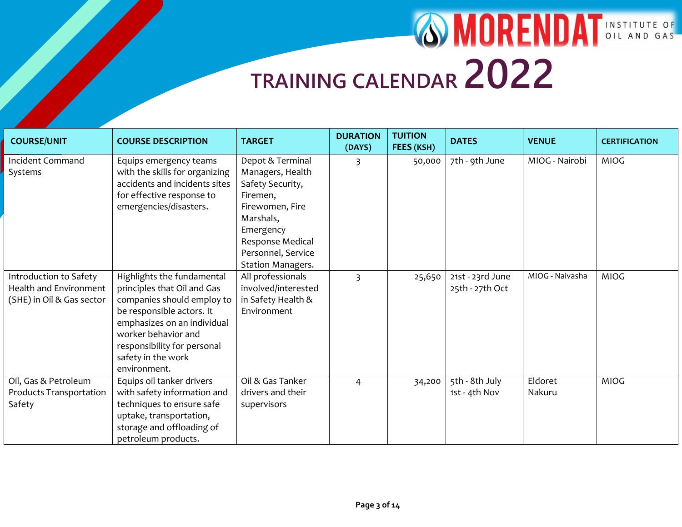| <b>COURSE/UNIT</b>                                                            | <b>COURSE DESCRIPTION</b>                                                                                                                                                                                                                       | <b>TARGET</b>                                                                                                                                                                    | <b>DURATION</b><br>(DAYS) | <b>TUITION</b><br>FEES (KSH) | <b>DATES</b>                        | <b>VENUE</b>      | <b>CERTIFICATION</b> |
|-------------------------------------------------------------------------------|-------------------------------------------------------------------------------------------------------------------------------------------------------------------------------------------------------------------------------------------------|----------------------------------------------------------------------------------------------------------------------------------------------------------------------------------|---------------------------|------------------------------|-------------------------------------|-------------------|----------------------|
| <b>Incident Command</b><br>Systems                                            | Equips emergency teams<br>with the skills for organizing<br>accidents and incidents sites<br>for effective response to<br>emergencies/disasters.                                                                                                | Depot & Terminal<br>Managers, Health<br>Safety Security,<br>Firemen,<br>Firewomen, Fire<br>Marshals,<br>Emergency<br>Response Medical<br>Personnel, Service<br>Station Managers. | 3                         | 50,000                       | 7th - 9th June                      | MIOG - Nairobi    | <b>MIOG</b>          |
| Introduction to Safety<br>Health and Environment<br>(SHE) in Oil & Gas sector | Highlights the fundamental<br>principles that Oil and Gas<br>companies should employ to<br>be responsible actors. It<br>emphasizes on an individual<br>worker behavior and<br>responsibility for personal<br>safety in the work<br>environment. | All professionals<br>involved/interested<br>in Safety Health &<br>Environment                                                                                                    | $\overline{3}$            | 25,650                       | 21st - 23rd June<br>25th - 27th Oct | MIOG - Naivasha   | <b>MIOG</b>          |
| Oil, Gas & Petroleum<br>Products Transportation<br>Safety                     | Equips oil tanker drivers<br>with safety information and<br>techniques to ensure safe<br>uptake, transportation,<br>storage and offloading of<br>petroleum products.                                                                            | Oil & Gas Tanker<br>drivers and their<br>supervisors                                                                                                                             | $\overline{4}$            | 34,200                       | 5th - 8th July<br>1st - 4th Nov     | Eldoret<br>Nakuru | <b>MIOG</b>          |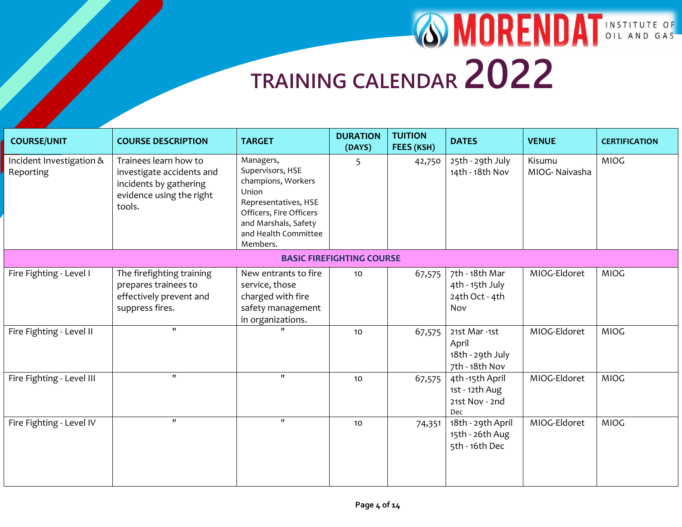| <b>COURSE/UNIT</b>                    | <b>COURSE DESCRIPTION</b>                                                                                          | <b>TARGET</b>                                                                                                                                                               | <b>DURATION</b><br>(DAYS)        | <b>TUITION</b><br>FEES (KSH) | <b>DATES</b>                                                | <b>VENUE</b>            | <b>CERTIFICATION</b> |
|---------------------------------------|--------------------------------------------------------------------------------------------------------------------|-----------------------------------------------------------------------------------------------------------------------------------------------------------------------------|----------------------------------|------------------------------|-------------------------------------------------------------|-------------------------|----------------------|
| Incident Investigation &<br>Reporting | Trainees learn how to<br>investigate accidents and<br>incidents by gathering<br>evidence using the right<br>tools. | Managers,<br>Supervisors, HSE<br>champions, Workers<br>Union<br>Representatives, HSE<br>Officers, Fire Officers<br>and Marshals, Safety<br>and Health Committee<br>Members. | 5                                | 42,750                       | 25th - 29th July<br>14th - 18th Nov                         | Kisumu<br>MIOG-Naivasha | <b>MIOG</b>          |
|                                       |                                                                                                                    |                                                                                                                                                                             | <b>BASIC FIREFIGHTING COURSE</b> |                              |                                                             |                         |                      |
| Fire Fighting - Level I               | The firefighting training<br>prepares trainees to<br>effectively prevent and<br>suppress fires.                    | New entrants to fire<br>service, those<br>charged with fire<br>safety management<br>in organizations.                                                                       | 10                               | 67,575                       | 7th - 18th Mar<br>4th - 15th July<br>24th Oct - 4th<br>Nov  | MIOG-Eldoret            | <b>MIOG</b>          |
| Fire Fighting - Level II              | $\mathbf{H}$                                                                                                       |                                                                                                                                                                             | 10                               | 67,575                       | 21st Mar-1st<br>April<br>18th - 29th July<br>7th - 18th Nov | MIOG-Eldoret            | <b>MIOG</b>          |
| Fire Fighting - Level III             | $^{\prime\prime}$                                                                                                  | $^{\prime\prime}$                                                                                                                                                           | 10                               | 67,575                       | 4th -15th April<br>1st - 12th Aug<br>21st Nov - 2nd<br>Dec  | MIOG-Eldoret            | <b>MIOG</b>          |
| Fire Fighting - Level IV              | $^{\prime\prime}$                                                                                                  | $^{\prime\prime}$                                                                                                                                                           | 10                               | 74,351                       | 18th - 29th April<br>15th - 26th Aug<br>5th - 16th Dec      | MIOG-Eldoret            | <b>MIOG</b>          |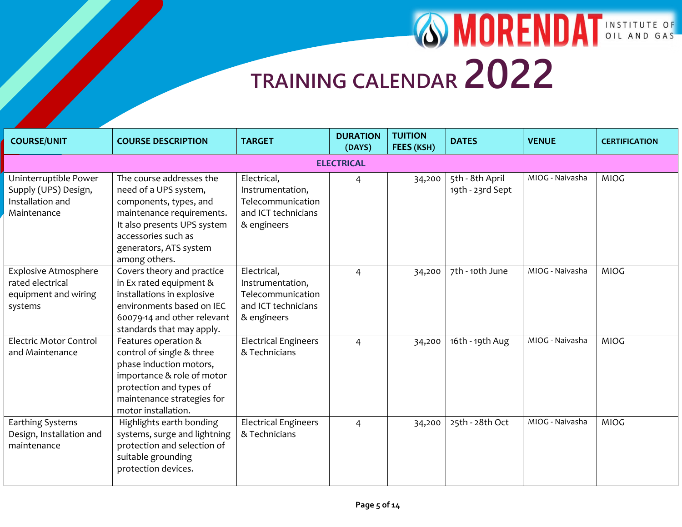| <b>COURSE/UNIT</b>                                                                 | <b>COURSE DESCRIPTION</b>                                                                                                                                                                                 | <b>TARGET</b>                                                                              | <b>DURATION</b><br>(DAYS) | <b>TUITION</b><br>FEES (KSH) | <b>DATES</b>                        | <b>VENUE</b>    | <b>CERTIFICATION</b> |  |  |  |  |
|------------------------------------------------------------------------------------|-----------------------------------------------------------------------------------------------------------------------------------------------------------------------------------------------------------|--------------------------------------------------------------------------------------------|---------------------------|------------------------------|-------------------------------------|-----------------|----------------------|--|--|--|--|
|                                                                                    | <b>ELECTRICAL</b>                                                                                                                                                                                         |                                                                                            |                           |                              |                                     |                 |                      |  |  |  |  |
| Uninterruptible Power<br>Supply (UPS) Design,<br>Installation and<br>Maintenance   | The course addresses the<br>need of a UPS system,<br>components, types, and<br>maintenance requirements.<br>It also presents UPS system<br>accessories such as<br>generators, ATS system<br>among others. | Electrical,<br>Instrumentation,<br>Telecommunication<br>and ICT technicians<br>& engineers | $\overline{4}$            | 34,200                       | 5th - 8th April<br>19th - 23rd Sept | MIOG - Naivasha | <b>MIOG</b>          |  |  |  |  |
| <b>Explosive Atmosphere</b><br>rated electrical<br>equipment and wiring<br>systems | Covers theory and practice<br>in Ex rated equipment &<br>installations in explosive<br>environments based on IEC<br>60079-14 and other relevant<br>standards that may apply.                              | Electrical,<br>Instrumentation,<br>Telecommunication<br>and ICT technicians<br>& engineers | $\overline{4}$            | 34,200                       | 7th - 10th June                     | MIOG - Naivasha | <b>MIOG</b>          |  |  |  |  |
| <b>Electric Motor Control</b><br>and Maintenance                                   | Features operation &<br>control of single & three<br>phase induction motors,<br>importance & role of motor<br>protection and types of<br>maintenance strategies for<br>motor installation.                | <b>Electrical Engineers</b><br>& Technicians                                               | $\overline{4}$            | 34,200                       | 16th - 19th Aug                     | MIOG - Naivasha | <b>MIOG</b>          |  |  |  |  |
| Earthing Systems<br>Design, Installation and<br>maintenance                        | Highlights earth bonding<br>systems, surge and lightning<br>protection and selection of<br>suitable grounding<br>protection devices.                                                                      | <b>Electrical Engineers</b><br>& Technicians                                               | $\overline{4}$            | 34,200                       | 25th - 28th Oct                     | MIOG - Naivasha | <b>MIOG</b>          |  |  |  |  |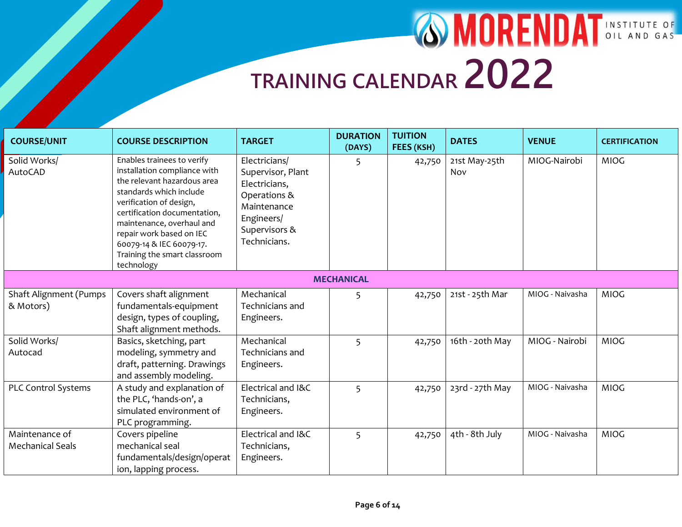| <b>COURSE/UNIT</b>                         | <b>COURSE DESCRIPTION</b>                                                                                                                                                                                                                                                                                          | <b>TARGET</b>                                                                                                                     | <b>DURATION</b><br>(DAYS) | <b>TUITION</b><br>FEES (KSH) | <b>DATES</b>         | <b>VENUE</b>    | <b>CERTIFICATION</b> |
|--------------------------------------------|--------------------------------------------------------------------------------------------------------------------------------------------------------------------------------------------------------------------------------------------------------------------------------------------------------------------|-----------------------------------------------------------------------------------------------------------------------------------|---------------------------|------------------------------|----------------------|-----------------|----------------------|
| Solid Works/<br><b>AutoCAD</b>             | Enables trainees to verify<br>installation compliance with<br>the relevant hazardous area<br>standards which include<br>verification of design,<br>certification documentation,<br>maintenance, overhaul and<br>repair work based on IEC<br>60079-14 & IEC 60079-17.<br>Training the smart classroom<br>technology | Electricians/<br>Supervisor, Plant<br>Electricians,<br>Operations &<br>Maintenance<br>Engineers/<br>Supervisors &<br>Technicians. | 5                         | 42,750                       | 21st May-25th<br>Nov | MIOG-Nairobi    | <b>MIOG</b>          |
|                                            |                                                                                                                                                                                                                                                                                                                    |                                                                                                                                   | <b>MECHANICAL</b>         |                              |                      |                 |                      |
| <b>Shaft Alignment (Pumps</b><br>& Motors) | Covers shaft alignment<br>fundamentals-equipment<br>design, types of coupling,<br>Shaft alignment methods.                                                                                                                                                                                                         | Mechanical<br>Technicians and<br>Engineers.                                                                                       | 5                         | 42,750                       | 21st - 25th Mar      | MIOG - Naivasha | <b>MIOG</b>          |
| Solid Works/<br>Autocad                    | Basics, sketching, part<br>modeling, symmetry and<br>draft, patterning. Drawings<br>and assembly modeling.                                                                                                                                                                                                         | Mechanical<br>Technicians and<br>Engineers.                                                                                       | 5                         | 42,750                       | 16th - 20th May      | MIOG - Nairobi  | <b>MIOG</b>          |
| PLC Control Systems                        | A study and explanation of<br>the PLC, 'hands-on', a<br>simulated environment of<br>PLC programming.                                                                                                                                                                                                               | Electrical and I&C<br>Technicians,<br>Engineers.                                                                                  | 5                         | 42,750                       | 23rd - 27th May      | MIOG - Naivasha | <b>MIOG</b>          |
| Maintenance of<br><b>Mechanical Seals</b>  | Covers pipeline<br>mechanical seal<br>fundamentals/design/operat<br>ion, lapping process.                                                                                                                                                                                                                          | Electrical and I&C<br>Technicians,<br>Engineers.                                                                                  | 5                         | 42,750                       | 4th - 8th July       | MIOG - Naivasha | <b>MIOG</b>          |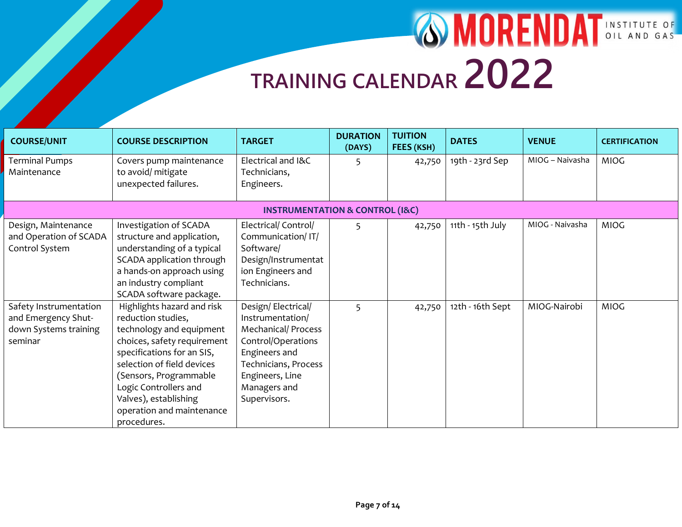| <b>COURSE/UNIT</b>                                                                | <b>COURSE DESCRIPTION</b>                                                                                                                                                                                                                                                                       | <b>TARGET</b>                                                                                                                                                                          | <b>DURATION</b><br>(DAYS) | <b>TUITION</b><br>FEES (KSH) | <b>DATES</b>     | <b>VENUE</b>    | <b>CERTIFICATION</b> |
|-----------------------------------------------------------------------------------|-------------------------------------------------------------------------------------------------------------------------------------------------------------------------------------------------------------------------------------------------------------------------------------------------|----------------------------------------------------------------------------------------------------------------------------------------------------------------------------------------|---------------------------|------------------------------|------------------|-----------------|----------------------|
| <b>Terminal Pumps</b><br>Maintenance                                              | Covers pump maintenance<br>to avoid/ mitigate<br>unexpected failures.                                                                                                                                                                                                                           | Electrical and I&C<br>Technicians,<br>Engineers.                                                                                                                                       | 5                         | 42,750                       | 19th - 23rd Sep  | MIOG - Naivasha | <b>MIOG</b>          |
|                                                                                   |                                                                                                                                                                                                                                                                                                 | <b>INSTRUMENTATION &amp; CONTROL (I&amp;C)</b>                                                                                                                                         |                           |                              |                  |                 |                      |
| Design, Maintenance<br>and Operation of SCADA<br>Control System                   | Investigation of SCADA<br>structure and application,<br>understanding of a typical<br>SCADA application through<br>a hands-on approach using<br>an industry compliant<br>SCADA software package.                                                                                                | Electrical/ Control/<br>Communication/IT/<br>Software/<br>Design/Instrumentat<br>ion Engineers and<br>Technicians.                                                                     | 5                         | 42,750                       | 11th - 15th July | MIOG - Naivasha | <b>MIOG</b>          |
| Safety Instrumentation<br>and Emergency Shut-<br>down Systems training<br>seminar | Highlights hazard and risk<br>reduction studies,<br>technology and equipment<br>choices, safety requirement<br>specifications for an SIS,<br>selection of field devices<br>(Sensors, Programmable<br>Logic Controllers and<br>Valves), establishing<br>operation and maintenance<br>procedures. | Design/Electrical/<br>Instrumentation/<br><b>Mechanical/ Process</b><br>Control/Operations<br>Engineers and<br>Technicians, Process<br>Engineers, Line<br>Managers and<br>Supervisors. | 5                         | 42,750                       | 12th - 16th Sept | MIOG-Nairobi    | <b>MIOG</b>          |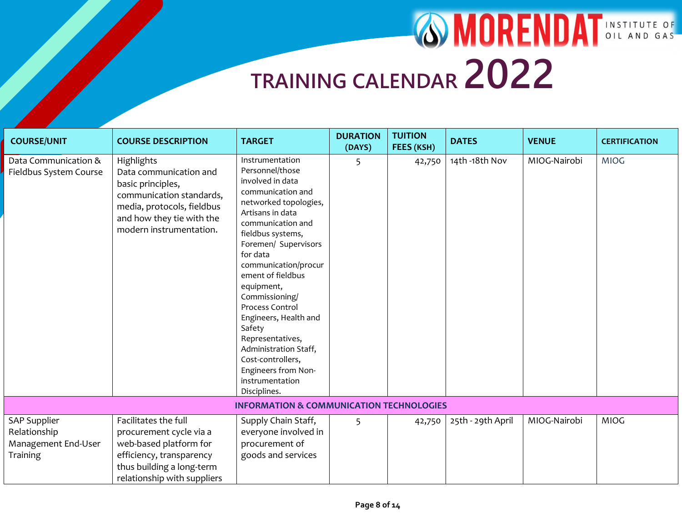| <b>COURSE/UNIT</b>                                                     | <b>COURSE DESCRIPTION</b>                                                                                                                                                   | <b>TARGET</b>                                                                                                                                                                                                                                                                                                                                                                                                                                                         | <b>DURATION</b><br>(DAYS) | <b>TUITION</b><br>FEES (KSH) | <b>DATES</b>      | <b>VENUE</b> | <b>CERTIFICATION</b> |
|------------------------------------------------------------------------|-----------------------------------------------------------------------------------------------------------------------------------------------------------------------------|-----------------------------------------------------------------------------------------------------------------------------------------------------------------------------------------------------------------------------------------------------------------------------------------------------------------------------------------------------------------------------------------------------------------------------------------------------------------------|---------------------------|------------------------------|-------------------|--------------|----------------------|
| Data Communication &<br>Fieldbus System Course                         | Highlights<br>Data communication and<br>basic principles,<br>communication standards,<br>media, protocols, fieldbus<br>and how they tie with the<br>modern instrumentation. | Instrumentation<br>Personnel/those<br>involved in data<br>communication and<br>networked topologies,<br>Artisans in data<br>communication and<br>fieldbus systems,<br>Foremen/ Supervisors<br>for data<br>communication/procur<br>ement of fieldbus<br>equipment,<br>Commissioning/<br>Process Control<br>Engineers, Health and<br>Safety<br>Representatives,<br>Administration Staff,<br>Cost-controllers,<br>Engineers from Non-<br>instrumentation<br>Disciplines. | 5                         | 42,750                       | 14th-18th Nov     | MIOG-Nairobi | <b>MIOG</b>          |
|                                                                        |                                                                                                                                                                             | <b>INFORMATION &amp; COMMUNICATION TECHNOLOGIES</b>                                                                                                                                                                                                                                                                                                                                                                                                                   |                           |                              |                   |              |                      |
| <b>SAP Supplier</b><br>Relationship<br>Management End-User<br>Training | Facilitates the full<br>procurement cycle via a<br>web-based platform for<br>efficiency, transparency<br>thus building a long-term<br>relationship with suppliers           | Supply Chain Staff,<br>everyone involved in<br>procurement of<br>goods and services                                                                                                                                                                                                                                                                                                                                                                                   | 5                         | 42,750                       | 25th - 29th April | MIOG-Nairobi | <b>MIOG</b>          |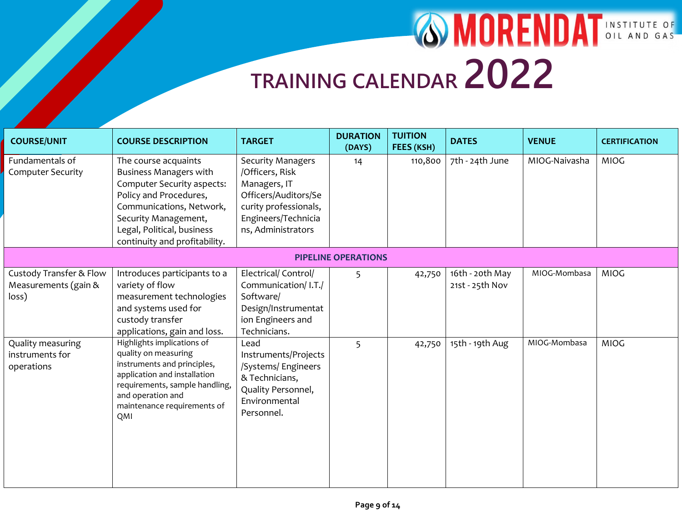| <b>COURSE/UNIT</b>                                                  | <b>COURSE DESCRIPTION</b>                                                                                                                                                                                                        | <b>TARGET</b>                                                                                                                                             | <b>DURATION</b><br>(DAYS)  | <b>TUITION</b><br>FEES (KSH) | <b>DATES</b>                       | <b>VENUE</b>  | <b>CERTIFICATION</b> |
|---------------------------------------------------------------------|----------------------------------------------------------------------------------------------------------------------------------------------------------------------------------------------------------------------------------|-----------------------------------------------------------------------------------------------------------------------------------------------------------|----------------------------|------------------------------|------------------------------------|---------------|----------------------|
| Fundamentals of<br><b>Computer Security</b>                         | The course acquaints<br><b>Business Managers with</b><br>Computer Security aspects:<br>Policy and Procedures,<br>Communications, Network,<br>Security Management,<br>Legal, Political, business<br>continuity and profitability. | <b>Security Managers</b><br>/Officers, Risk<br>Managers, IT<br>Officers/Auditors/Se<br>curity professionals,<br>Engineers/Technicia<br>ns, Administrators | 14                         | 110,800                      | 7th - 24th June                    | MIOG-Naivasha | <b>MIOG</b>          |
|                                                                     |                                                                                                                                                                                                                                  |                                                                                                                                                           | <b>PIPELINE OPERATIONS</b> |                              |                                    |               |                      |
| <b>Custody Transfer &amp; Flow</b><br>Measurements (gain &<br>loss) | Introduces participants to a<br>variety of flow<br>measurement technologies<br>and systems used for<br>custody transfer<br>applications, gain and loss.                                                                          | Electrical/ Control/<br>Communication/ I.T./<br>Software/<br>Design/Instrumentat<br>ion Engineers and<br>Technicians.                                     | 5                          | 42,750                       | 16th - 20th May<br>21st - 25th Nov | MIOG-Mombasa  | <b>MIOG</b>          |
| Quality measuring<br>instruments for<br>operations                  | Highlights implications of<br>quality on measuring<br>instruments and principles,<br>application and installation<br>requirements, sample handling,<br>and operation and<br>maintenance requirements of<br>QMI                   | Lead<br>Instruments/Projects<br>/Systems/ Engineers<br>& Technicians,<br>Quality Personnel,<br>Environmental<br>Personnel.                                | 5                          | 42,750                       | 15th - 19th Aug                    | MIOG-Mombasa  | <b>MIOG</b>          |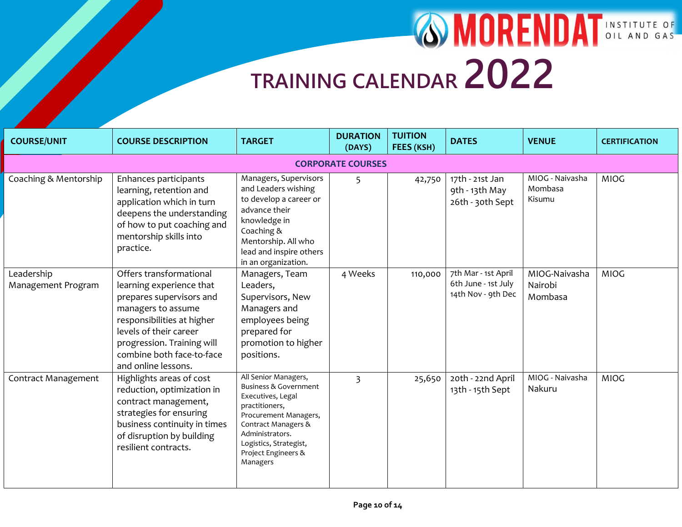| <b>COURSE/UNIT</b>               | <b>COURSE DESCRIPTION</b>                                                                                                                                                                                                                       | <b>TARGET</b>                                                                                                                                                                                                                   | <b>DURATION</b><br>(DAYS) | <b>TUITION</b><br>FEES (KSH) | <b>DATES</b>                                                     | <b>VENUE</b>                         | <b>CERTIFICATION</b> |  |  |
|----------------------------------|-------------------------------------------------------------------------------------------------------------------------------------------------------------------------------------------------------------------------------------------------|---------------------------------------------------------------------------------------------------------------------------------------------------------------------------------------------------------------------------------|---------------------------|------------------------------|------------------------------------------------------------------|--------------------------------------|----------------------|--|--|
| <b>CORPORATE COURSES</b>         |                                                                                                                                                                                                                                                 |                                                                                                                                                                                                                                 |                           |                              |                                                                  |                                      |                      |  |  |
| Coaching & Mentorship            | Enhances participants<br>learning, retention and<br>application which in turn<br>deepens the understanding<br>of how to put coaching and<br>mentorship skills into<br>practice.                                                                 | Managers, Supervisors<br>and Leaders wishing<br>to develop a career or<br>advance their<br>knowledge in<br>Coaching &<br>Mentorship. All who<br>lead and inspire others<br>in an organization.                                  | 5                         | 42,750                       | 17th - 21st Jan<br>9th - 13th May<br>26th - 30th Sept            | MIOG - Naivasha<br>Mombasa<br>Kisumu | <b>MIOG</b>          |  |  |
| Leadership<br>Management Program | Offers transformational<br>learning experience that<br>prepares supervisors and<br>managers to assume<br>responsibilities at higher<br>levels of their career<br>progression. Training will<br>combine both face-to-face<br>and online lessons. | Managers, Team<br>Leaders,<br>Supervisors, New<br>Managers and<br>employees being<br>prepared for<br>promotion to higher<br>positions.                                                                                          | 4 Weeks                   | 110,000                      | 7th Mar - 1st April<br>6th June - 1st July<br>14th Nov - 9th Dec | MIOG-Naivasha<br>Nairobi<br>Mombasa  | <b>MIOG</b>          |  |  |
| Contract Management              | Highlights areas of cost<br>reduction, optimization in<br>contract management,<br>strategies for ensuring<br>business continuity in times<br>of disruption by building<br>resilient contracts.                                                  | All Senior Managers,<br><b>Business &amp; Government</b><br>Executives, Legal<br>practitioners,<br>Procurement Managers,<br>Contract Managers &<br>Administrators.<br>Logistics, Strategist,<br>Project Engineers &<br>Managers | $\overline{3}$            | 25,650                       | 20th - 22nd April<br>13th - 15th Sept                            | MIOG - Naivasha<br>Nakuru            | <b>MIOG</b>          |  |  |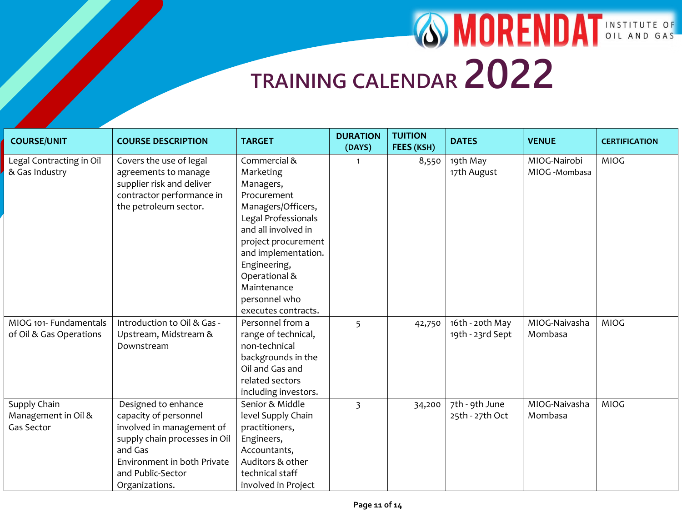| <b>COURSE/UNIT</b>       | <b>COURSE DESCRIPTION</b>     | <b>TARGET</b>        | <b>DURATION</b><br>(DAYS) | <b>TUITION</b><br>FEES (KSH) | <b>DATES</b>     | <b>VENUE</b>  | <b>CERTIFICATION</b> |
|--------------------------|-------------------------------|----------------------|---------------------------|------------------------------|------------------|---------------|----------------------|
| Legal Contracting in Oil | Covers the use of legal       | Commercial &         | 1                         | 8,550                        | 19th May         | MIOG-Nairobi  | <b>MIOG</b>          |
| & Gas Industry           | agreements to manage          | Marketing            |                           |                              | 17th August      | MIOG -Mombasa |                      |
|                          | supplier risk and deliver     | Managers,            |                           |                              |                  |               |                      |
|                          | contractor performance in     | Procurement          |                           |                              |                  |               |                      |
|                          | the petroleum sector.         | Managers/Officers,   |                           |                              |                  |               |                      |
|                          |                               | Legal Professionals  |                           |                              |                  |               |                      |
|                          |                               | and all involved in  |                           |                              |                  |               |                      |
|                          |                               | project procurement  |                           |                              |                  |               |                      |
|                          |                               | and implementation.  |                           |                              |                  |               |                      |
|                          |                               | Engineering,         |                           |                              |                  |               |                      |
|                          |                               | Operational &        |                           |                              |                  |               |                      |
|                          |                               | Maintenance          |                           |                              |                  |               |                      |
|                          |                               | personnel who        |                           |                              |                  |               |                      |
|                          |                               | executes contracts.  |                           |                              |                  |               |                      |
| MIOG 101- Fundamentals   | Introduction to Oil & Gas -   | Personnel from a     | 5                         | 42,750                       | 16th - 20th May  | MIOG-Naivasha | <b>MIOG</b>          |
| of Oil & Gas Operations  | Upstream, Midstream &         | range of technical,  |                           |                              | 19th - 23rd Sept | Mombasa       |                      |
|                          | Downstream                    | non-technical        |                           |                              |                  |               |                      |
|                          |                               | backgrounds in the   |                           |                              |                  |               |                      |
|                          |                               | Oil and Gas and      |                           |                              |                  |               |                      |
|                          |                               | related sectors      |                           |                              |                  |               |                      |
|                          |                               | including investors. |                           |                              |                  |               |                      |
| Supply Chain             | Designed to enhance           | Senior & Middle      | $\overline{3}$            | 34,200                       | 7th - 9th June   | MIOG-Naivasha | <b>MIOG</b>          |
| Management in Oil &      | capacity of personnel         | level Supply Chain   |                           |                              | 25th - 27th Oct  | Mombasa       |                      |
| Gas Sector               | involved in management of     | practitioners,       |                           |                              |                  |               |                      |
|                          | supply chain processes in Oil | Engineers,           |                           |                              |                  |               |                      |
|                          | and Gas                       | Accountants,         |                           |                              |                  |               |                      |
|                          | Environment in both Private   | Auditors & other     |                           |                              |                  |               |                      |
|                          | and Public-Sector             | technical staff      |                           |                              |                  |               |                      |
|                          | Organizations.                | involved in Project  |                           |                              |                  |               |                      |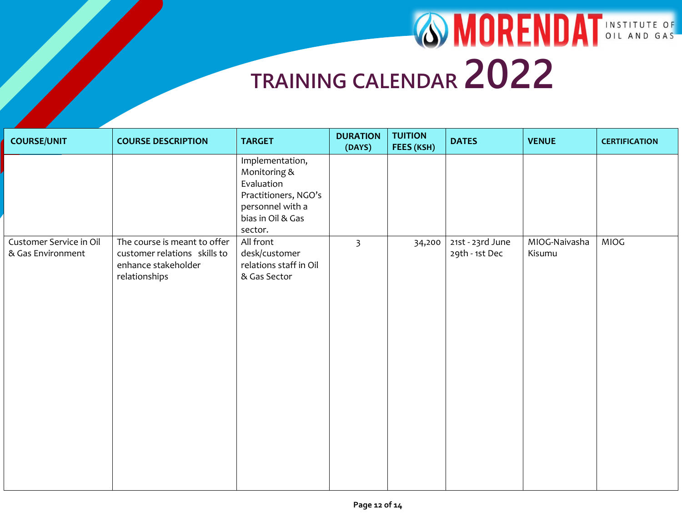| <b>COURSE/UNIT</b>                           | <b>COURSE DESCRIPTION</b>                                                                            | <b>TARGET</b>                                                                                                             | <b>DURATION</b><br>(DAYS) | <b>TUITION</b><br>FEES (KSH) | <b>DATES</b>                       | <b>VENUE</b>            | <b>CERTIFICATION</b> |
|----------------------------------------------|------------------------------------------------------------------------------------------------------|---------------------------------------------------------------------------------------------------------------------------|---------------------------|------------------------------|------------------------------------|-------------------------|----------------------|
|                                              |                                                                                                      | Implementation,<br>Monitoring &<br>Evaluation<br>Practitioners, NGO's<br>personnel with a<br>bias in Oil & Gas<br>sector. |                           |                              |                                    |                         |                      |
| Customer Service in Oil<br>& Gas Environment | The course is meant to offer<br>customer relations skills to<br>enhance stakeholder<br>relationships | All front<br>desk/customer<br>relations staff in Oil<br>& Gas Sector                                                      | $\overline{\mathbf{3}}$   | 34,200                       | 21st - 23rd June<br>29th - 1st Dec | MIOG-Naivasha<br>Kisumu | <b>MIOG</b>          |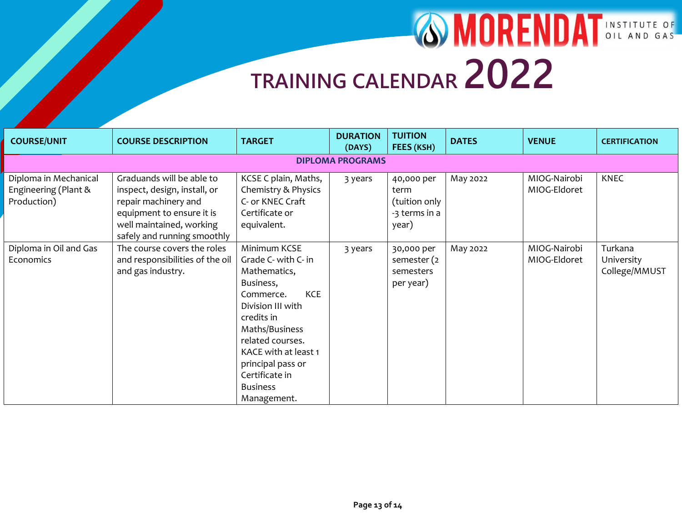| <b>COURSE/UNIT</b>                                           | <b>COURSE DESCRIPTION</b>                                                                                                                                                 | <b>TARGET</b>                                                                                                                                                                                                                                                         | <b>DURATION</b><br>(DAYS) | <b>TUITION</b><br>FEES (KSH)                                  | <b>DATES</b> | <b>VENUE</b>                 | <b>CERTIFICATION</b>                   |
|--------------------------------------------------------------|---------------------------------------------------------------------------------------------------------------------------------------------------------------------------|-----------------------------------------------------------------------------------------------------------------------------------------------------------------------------------------------------------------------------------------------------------------------|---------------------------|---------------------------------------------------------------|--------------|------------------------------|----------------------------------------|
| <b>DIPLOMA PROGRAMS</b>                                      |                                                                                                                                                                           |                                                                                                                                                                                                                                                                       |                           |                                                               |              |                              |                                        |
| Diploma in Mechanical<br>Engineering (Plant &<br>Production) | Graduands will be able to<br>inspect, design, install, or<br>repair machinery and<br>equipment to ensure it is<br>well maintained, working<br>safely and running smoothly | KCSE C plain, Maths,<br>Chemistry & Physics<br>C- or KNEC Craft<br>Certificate or<br>equivalent.                                                                                                                                                                      | 3 years                   | 40,000 per<br>term<br>(tuition only<br>-3 terms in a<br>year) | May 2022     | MIOG-Nairobi<br>MIOG-Eldoret | <b>KNEC</b>                            |
| Diploma in Oil and Gas<br>Economics                          | The course covers the roles<br>and responsibilities of the oil<br>and gas industry.                                                                                       | Minimum KCSE<br>Grade C- with C- in<br>Mathematics,<br>Business,<br><b>KCE</b><br>Commerce.<br>Division III with<br>credits in<br>Maths/Business<br>related courses.<br>KACE with at least 1<br>principal pass or<br>Certificate in<br><b>Business</b><br>Management. | 3 years                   | 30,000 per<br>semester (2<br>semesters<br>per year)           | May 2022     | MIOG-Nairobi<br>MIOG-Eldoret | Turkana<br>University<br>College/MMUST |